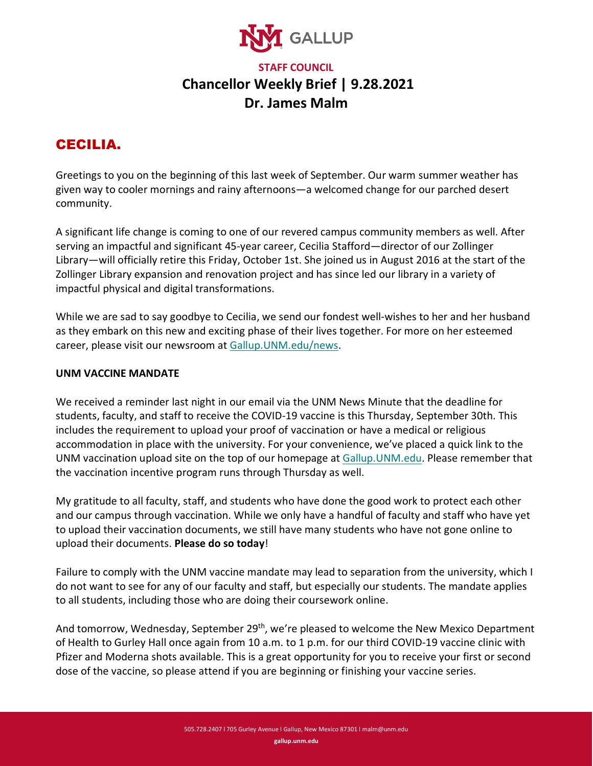

## **STAFF COUNCIL Chancellor Weekly Brief | 9.28.2021 Dr. James Malm**

## CECILIA.

Greetings to you on the beginning of this last week of September. Our warm summer weather has given way to cooler mornings and rainy afternoons—a welcomed change for our parched desert community.

A significant life change is coming to one of our revered campus community members as well. After serving an impactful and significant 45-year career, Cecilia Stafford—director of our Zollinger Library—will officially retire this Friday, October 1st. She joined us in August 2016 at the start of the Zollinger Library expansion and renovation project and has since led our library in a variety of impactful physical and digital transformations.

While we are sad to say goodbye to Cecilia, we send our fondest well-wishes to her and her husband as they embark on this new and exciting phase of their lives together. For more on her esteemed career, please visit our newsroom at [Gallup.UNM.edu/news.](https://gallup.unm.edu/news)

## **UNM VACCINE MANDATE**

We received a reminder last night in our email via the UNM News Minute that the deadline for students, faculty, and staff to receive the COVID-19 vaccine is this Thursday, September 30th. This includes the requirement to upload your proof of vaccination or have a medical or religious accommodation in place with the university. For your convenience, we've placed a quick link to the UNM vaccination upload site on the top of our homepage at [Gallup.UNM.edu.](https://gallup.unm.edu/) Please remember that the vaccination incentive program runs through Thursday as well.

My gratitude to all faculty, staff, and students who have done the good work to protect each other and our campus through vaccination. While we only have a handful of faculty and staff who have yet to upload their vaccination documents, we still have many students who have not gone online to upload their documents. **Please do so today**!

Failure to comply with the UNM vaccine mandate may lead to separation from the university, which I do not want to see for any of our faculty and staff, but especially our students. The mandate applies to all students, including those who are doing their coursework online.

And tomorrow, Wednesday, September 29<sup>th</sup>, we're pleased to welcome the New Mexico Department of Health to Gurley Hall once again from 10 a.m. to 1 p.m. for our third COVID-19 vaccine clinic with Pfizer and Moderna shots available. This is a great opportunity for you to receive your first or second dose of the vaccine, so please attend if you are beginning or finishing your vaccine series.